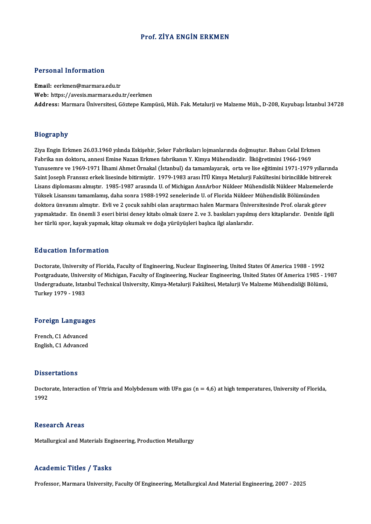## Prof. ZİYA ENGİN ERKMEN

### Personal Information

Email: eerkmen@marmara.edu.tr Web: https://avesis.marmara.edu.tr/eerkmen Address: Marmara Üniversitesi, Göztepe Kampüsü, Müh. Fak. Metalurji ve Malzeme Müh., D-208, Kuyubaşı İstanbul 34728

### Biography

Ziya Engin Erkmen 26.03.1960 yılında Eskişehir, Şeker Fabrikaları lojmanlarında doğmuştur. Babası Celal Erkmen Fabrika nın doktoru, annesi Emine Nazan Erkmen fabrikanın Y. Kimya Mühendisidir. İlköğretimini 1966-1969 Ziya Engin Erkmen 26.03.1960 yılında Eskişehir, Şeker Fabrikaları lojmanlarında doğmuştur. Babası Celal Erkmen<br>Fabrika nın doktoru, annesi Emine Nazan Erkmen fabrikanın Y. Kimya Mühendisidir. İlköğretimini 1966-1969<br>Yunus Fabrika nın doktoru, annesi Emine Nazan Erkmen fabrikanın Y. Kimya Mühendisidir. İlköğretimini 1966-1969<br>Yunusemre ve 1969-1971 İlhami Ahmet Örnakal (İstanbul) da tamamlayarak, orta ve lise eğitimini 1971-1979 yıllarınd<br> Yunusemre ve 1969-1971 İlhami Ahmet Örnakal (İstanbul) da tamamlayarak, orta ve lise eğitimini 1971-1979 yıllarınd<br>Saint Joseph Fransısz erkek lisesinde bitirmiştir. 1979-1983 arası İTÜ Kimya Metalurji Fakültesini birincil Saint Joseph Fransısz erkek lisesinde bitirmiştir. 1979-1983 arası İTÜ Kimya Metalurji Fakültesini birincilikle bitirerek<br>Lisans diplomasını almıştır. 1985-1987 arasında U. of Michigan AnnArbor Nükleer Mühendislik Nükleer Lisans diplomasını almıştır. 1985-1987 arasında U. of Michigan AnnArbor Nükleer Mühendislik Nükleer Malzemelerde Yüksek Lisansını tamamlamış, daha sonra 1988-1992 senelerinde U. of Florida Nükleer Mühendislik Bölümünden<br>doktora ünvanını almıştır. Evli ve 2 çocuk sahibi olan araştırmacı halen Marmara Üniversitesinde Prof. olarak göre doktora ünvanını almıştır. Evli ve 2 çocuk sahibi olan araştırmacı halen Marmara Ünive<br>yapmaktadır. En önemli 3 eseri birisi deney kitabı olmak üzere 2. ve 3. baskıları yapılmı<br>her türlü spor, kayak yapmak, kitap okumak her türlü spor, kayak yapmak, kitap okumak ve doğa yürüyüşleri başlıca ilgi alanlarıdır.<br>Education Information

Doctorate, University of Florida, Faculty of Engineering, Nuclear Engineering, United States Of America 1988 - 1992 Putroaceon Timor interesi<br>Doctorate, University of Florida, Faculty of Engineering, Nuclear Engineering, United States Of America 1988 - 1992<br>Postgraduate, University of Michigan, Faculty of Engineering, Nuclear Engineerin Doctorate, University of Florida, Faculty of Engineering, Nuclear Engineering, United States Of America 1988 - 1992<br>Postgraduate, University of Michigan, Faculty of Engineering, Nuclear Engineering, United States Of Americ Postgraduate, Univer<br>Undergraduate, Istan<br>Turkey 1979 - 1983

# Turkey 1979 - 1983<br>Foreign Languages

**Foreign Language<br>French, C1 Advanced<br>English, C1 Advanced** French, C1 Advanced<br>English, C1 Advanced

### **Dissertations**

Dissertations<br>Doctorate, Interaction of Yttria and Molybdenum with UFn gas (n = 4,6) at high temperatures, University of Florida,<br>1992 **Disse**<br>Docto<br>1992 1992<br>Research Areas

Metallurgical and Materials Engineering, Production Metallurgy

#### Academic Titles / Tasks

Professor, Marmara University, Faculty Of Engineering, Metallurgical And Material Engineering, 2007 - 2025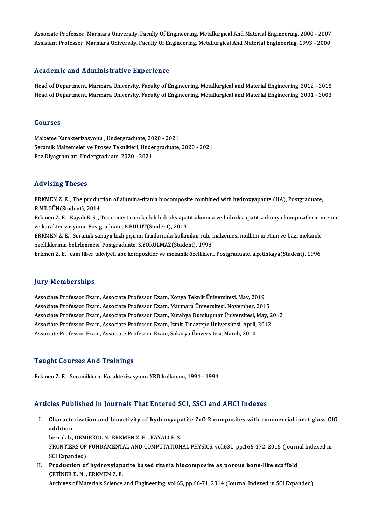Associate Professor, Marmara University, Faculty Of Engineering, Metallurgical And Material Engineering, 2000 - 2007<br>Assistant Professor, Marmara University, Faculty Of Engineering, Metallurgical And Material Engineering, Associate Professor, Marmara University, Faculty Of Engineering, Metallurgical And Material Engineering, 2000 - 2007<br>Assistant Professor, Marmara University, Faculty Of Engineering, Metallurgical And Material Engineering, Assistant Professor, Marmara University, Faculty Of Engineering, Metallurgical And Material Engineering, 1993 - 2000<br>Academic and Administrative Experience

Academic and Administrative Experience<br>Head of Department, Marmara University, Faculty of Engineering, Metallurgical and Material Engineering, 2012 - 2015<br>Head of Department, Marmara University, Faculty of Engineering, Met 110dd omforment, Mammioclael victory Empoliticio<br>Head of Department, Marmara University, Faculty of Engineering, Metallurgical and Material Engineering, 2012 - 2015<br>Head of Department, Marmara University, Faculty of Engine Head of Department, Marmara University, Faculty of Engineering, Metallurgical and Material Engineering, 2001 - 2003<br>Courses

Courses<br>Malzeme Karakterizasyonu , Undergraduate, 2020 - 2021<br>Seremik Malzemeler ve Presse Telmikleri, Undergraduate Seramik Malzemeler ve Proses Teknikleri, Undergraduate, 2020 - 2021<br>Faz Diyagramları, Undergraduate, 2020 - 2021 Malzeme Karakterizasyonu , Undergraduate, 20<br>Seramik Malzemeler ve Proses Teknikleri, Unde<br>Faz Diyagramları, Undergraduate, 2020 - 2021

#### Advising Theses

Advising Theses<br>ERKMEN Z. E. , The production of alumina-titania biocomposite combined with hydroxyapatite (HA), Postgraduate,<br>R.N.U.CÜN(Student), 2014 ERKMEN Z.E., The production of the state of the state of the State State of the State State of the State State of the State State of the State State of the State of the State State of the State State of the State of the St ERKMEN Z. E. , The production of alumina-titania biocomposite combined with hydroxyapatite (HA), Postgraduate,<br>B.NİLGÜN(Student), 2014<br>Erkmen Z. E. , Kayalı E. S. , Ticari inert cam katkılı hidroksiapatit-alümina ve hidrok B.NİLGÜN(Student), 2014<br>Erkmen Z. E. , Kayalı E. S. , Ticari inert cam katkılı hidroksiapat<br>ve karakterizasyonu, Postgraduate, B.BULUT(Student), 2014<br>ERKMEN Z. E., Seremik sanayii bızlı nisirim fırınlarında kullar Erkmen Z. E. , Kayalı E. S. , Ticari inert cam katkılı hidroksiapatit-alümina ve hidroksiapatit-zirkonya kompozitlerin ü<br>ve karakterizasyonu, Postgraduate, B.BULUT(Student), 2014<br>ERKMEN Z. E. , Seramik sanayii hızlı pişiri ve karakterizasyonu, Postgraduate, B.BULUT(Student), 2014<br>ERKMEN Z. E. , Seramik sanayii hızlı pişirim fırınlarında kullanılan rulo ı<br>özelliklerinin belirlenmesi, Postgraduate, S.YORULMAZ(Student), 1998<br>Frimen Z. E., sam f ERKMEN Z. E. , Seramik sanayii hızlı pişirim fırınlarında kullanılan rulo malzemesi müllitin üretimi ve bazı mekanik<br>özelliklerinin belirlenmesi, Postgraduate, S.YORULMAZ(Student), 1998<br>Erkmen Z. E. , cam fiber takviyeli a Erkmen Z. E. , cam fiber takviyeli abc kompozitler ve mekanik özellikleri, Postgraduate, a.çetinkaya(Student), 1996<br>Iury Memberships

Associate Professor Exam, Associate Professor Exam, Konya Teknik Üniversitesi, May, 2019 Associate Professor Exam, Associate Professor Exam, Marmara Üniversitesi, November, 2015 Associate Professor Exam, Associate Professor Exam, Konya Teknik Üniversitesi, May, 2019<br>Associate Professor Exam, Associate Professor Exam, Marmara Üniversitesi, November, 2015<br>Associate Professor Exam, Associate Professo Associate Professor Exam, Associate Professor Exam, Marmara Üniversitesi, November, 2015<br>Associate Professor Exam, Associate Professor Exam, Kütahya Dumlupınar Üniversitesi, May, 2<br>Associate Professor Exam, Associate Profe Associate Professor Exam, Associate Professor Exam, Kütahya Dumlupınar Üniversitesi, I<br>Associate Professor Exam, Associate Professor Exam, İzmir Tınaztepe Üniversitesi, April,<br>Associate Professor Exam, Associate Professor Associate Professor Exam, Associate Professor Exam, Sakarya Üniversitesi, March, 2010<br>Taught Courses And Trainings

Erkmen Z.E., Seramiklerin Karakterizasyonu XRD kullanımı, 1994 - 1994

#### Articles Published in Journals That Entered SCI, SSCI and AHCI Indexes

rticles Published in Journals That Entered SCI, SSCI and AHCI Indexes<br>I. Characterization and bioactivity of hydroxyapatite ZrO 2 composites with commercial inert glass CIG<br>addition  $\frac{1}{100}$  and  $\frac{1}{100}$  and  $\frac{1}{100}$  being  $\frac{1}{100}$  being  $\frac{1}{100}$  being  $\frac{1}{100}$  being  $\frac{1}{100}$  being  $\frac{1}{100}$  being  $\frac{1}{100}$  being  $\frac{1}{100}$  being  $\frac{1}{100}$  being  $\frac{1}{100}$  being  $\frac{1}{100$ Characterization and bioactivity of hydroxyap:<br>addition<br>berrak b., DEMİRKOL N., ERKMEN Z. E. , KAYALI E. S.<br>EPONTIERS OF EUNDAMENTAL AND COMPUTATION

addition<br>berrak b., DEMİRKOL N., ERKMEN Z. E. , KAYALI E. S.<br>FRONTIERS OF FUNDAMENTAL AND COMPUTATIONAL PHYSICS, vol.631, pp.166-172, 2015 (Journal Indexed in<br>SCL Evnanded) berrak b., DEM<br>FRONTIERS OF<br>SCI Expanded)<br>Production of FRONTIERS OF FUNDAMENTAL AND COMPUTATIONAL PHYSICS, vol.631, pp.166-172, 2015 (Journ<br>SCI Expanded)<br>II. Production of hydroxylapatite based titania biocomposite as porous bone-like scaffold<br>CETINER P. N. ERKMEN 7. E

SCI Expanded)<br>Production of hydroxylap:<br>CETİNER B.N., ERKMEN Z.E.<br>Archives of Materials Science CETINER B. N. , ERKMEN Z. E.<br>Archives of Materials Science and Engineering, vol.65, pp.66-71, 2014 (Journal Indexed in SCI Expanded)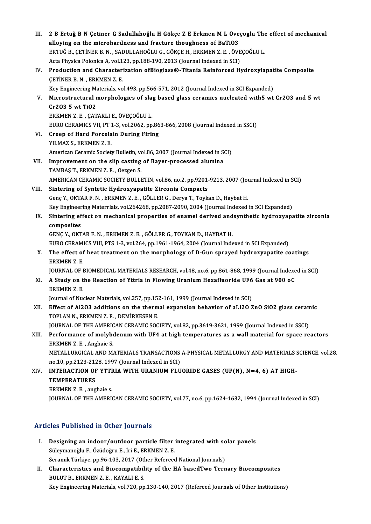| III.  | 2 B Ertuğ B N Çetiner G Sadullahoğlu H Gökçe Z E Erkmen M L Öveçoglu The effect of mechanical<br>alloying on the microhardness and fracture thoughness of BaTiO3 |
|-------|------------------------------------------------------------------------------------------------------------------------------------------------------------------|
|       | ERTUĞ B., ÇETİNER B. N., SADULLAHOĞLU G., GÖKÇE H., ERKMEN Z. E., ÖVEÇOĞLU L.                                                                                    |
|       | Acta Physica Polonica A, vol.123, pp.188-190, 2013 (Journal Indexed in SCI)                                                                                      |
| IV.   | Production and Characterization ofBioglass®-Titania Reinforced Hydroxylapatite Composite<br>CETINER B. N., ERKMEN Z. E.                                          |
| V.    | Key Engineering Materials, vol.493, pp.566-571, 2012 (Journal Indexed in SCI Expanded)                                                                           |
|       | Microstructural morphologies of slag based glass ceramics nucleated with5 wt Cr2O3 and 5 wt<br>Cr203 5 wt TiO2                                                   |
|       | ERKMEN Z. E., ÇATAKLI E., ÖVEÇOĞLU L.                                                                                                                            |
|       | EURO CERAMICS VII, PT 1-3, vol.2062, pp.863-866, 2008 (Journal Indexed in SSCI)                                                                                  |
| VI.   | Creep of Hard Porcelain During Firing                                                                                                                            |
|       | YILMAZ S., ERKMEN Z. E.                                                                                                                                          |
|       | American Ceramic Society Bulletin, vol.86, 2007 (Journal Indexed in SCI)                                                                                         |
| VII.  | Improvement on the slip casting of Bayer-processed alumina                                                                                                       |
|       | TAMBAŞ T., ERKMEN Z. E., Oezgen S.                                                                                                                               |
|       | AMERICAN CERAMIC SOCIETY BULLETIN, vol.86, no.2, pp.9201-9213, 2007 (Journal Indexed in SCI)                                                                     |
| VIII. | Sintering of Syntetic Hydroxyapatite Zirconia Compacts                                                                                                           |
|       | Genç Y., OKTAR F. N., ERKMEN Z. E., GÖLLER G., Derya T., Toykan D., Haybat H.                                                                                    |
|       | Key Engineering Materrials, vol.264268, pp.2087-2090, 2004 (Journal Indexed in SCI Expanded)                                                                     |
| IX.   | Sintering effect on mechanical properties of enamel derived andsynthetic hydroxyapatite zirconia<br>composites                                                   |
|       | GENÇ Y., OKTAR F. N., ERKMEN Z. E., GÖLLER G., TOYKAN D., HAYBAT H.                                                                                              |
|       | EURO CERAMICS VIII, PTS 1-3, vol.264, pp.1961-1964, 2004 (Journal Indexed in SCI Expanded)                                                                       |
| X.    | The effect of heat treatment on the morphology of D-Gun sprayed hydroxyapatite coatings                                                                          |
|       | <b>ERKMEN Z E</b>                                                                                                                                                |
|       | JOURNAL OF BIOMEDICAL MATERIALS RESEARCH, vol.48, no.6, pp.861-868, 1999 (Journal Indexed in SCI)                                                                |
| XI.   | A Study on the Reaction of Yttria in Flowing Uranium Hexafluoride UF6 Gas at 900 oC<br>ERKMEN Z.E.                                                               |
|       | Journal of Nuclear Materials, vol.257, pp.152-161, 1999 (Journal Indexed in SCI)                                                                                 |
| XII.  | Effect of Al2O3 additions on the thermal expansion behavior of aLi2O ZnO SiO2 glass ceramic<br>TOPLAN N., ERKMEN Z. E., DEMIRKESEN E.                            |
|       | JOURNAL OF THE AMERICAN CERAMIC SOCIETY, vol.82, pp.3619-3621, 1999 (Journal Indexed in SSCI)                                                                    |
| XIII. | Performance of molybdenum with UF4 at high temperatures as a wall material for space reactors<br>ERKMEN Z. E., Anghaie S.                                        |
|       | METALLURGICAL AND MATERIALS TRANSACTIONS A-PHYSICAL METALLURGY AND MATERIALS SCIENCE, vol.28,<br>no.10, pp.2123-2128, 1997 (Journal Indexed in SCI)              |
| XIV.  | INTERACTION OF YTTRIA WITH URANIUM FLUORIDE GASES (UF(N), N=4, 6) AT HIGH-<br><b>TEMPERATURES</b>                                                                |
|       | ERKMEN Z.E., anghaie s.                                                                                                                                          |
|       | JOURNAL OF THE AMERICAN CERAMIC SOCIETY, vol.77, no.6, pp.1624-1632, 1994 (Journal Indexed in SCI)                                                               |
|       |                                                                                                                                                                  |

## Articles Published in Other Journals

- I. Designing an indoor/outdoor particle filter integrated with solar panels Süleymanoğlu F.,ÖzüdoğruE., İriE.,ERKMENZ.E. Seramik Türkiye, pp.96-103, 2017 (Other Refereed National Journals) Süleymanoğlu F., Özüdoğru E., İri E., ERKMEN Z. E.<br>Seramik Türkiye, pp.96-103, 2017 (Other Refereed National Journals)<br>II. Characteristics and Biocompatibility of the HA basedTwo Ternary Biocomposites<br>PHI UT B. ERKMEN Z. E
- Seramik Türkiye, pp.96-103, 2017 (Oth<br>Characteristics and Biocompatibil<br>BULUT B., ERKMEN Z. E. , KAYALI E. S.<br>Kay Engineering Materials vol 720. nn BULUT B., ERKMEN Z. E. , KAYALI E. S.<br>Key Engineering Materials, vol.720, pp.130-140, 2017 (Refereed Journals of Other Institutions)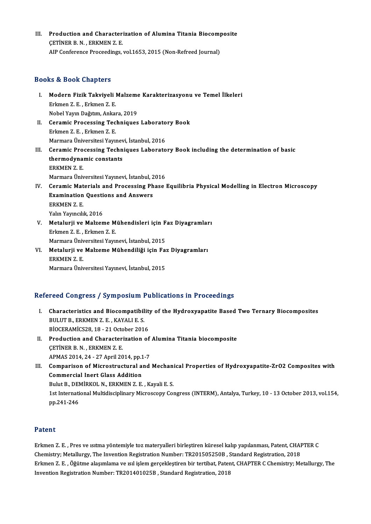III. Production and Characterization of Alumina Titania Biocomposite<br>CETINED B.N. EDVMEN 7 E Production and Character:<br>CETİNER B.N., ERKMEN Z.E.<br>AIB Conference Proceedings Production and Characterization of Alumina Titania Biocom<sub>l</sub><br>ÇETİNER B. N. , ERKMEN Z. E.<br>AIP Conference Proceedings, vol.1653, 2015 (Non-Refreed Journal) AIP Conference Proceedings, vol.1653, 2015 (Non-Refreed Journal)<br>Books & Book Chapters

- ooks & Book Chapters<br>I. Modern Fizik Takviyeli Malzeme Karakterizasyonu ve Temel İlkeleri<br>Friman Z.E. Friman Z.E. Erkmen<br>Erkmen Z.E., Erkmen Z.E.<br>Nobel Yaum Değitim, Ankal Modern Fizik Takviyeli Malzeme<br>Erkmen Z. E. , Erkmen Z. E.<br>Nobel Yayın Dağıtım, Ankara, 2019<br>Coromia Brosessing Teshniques Erkmen Z. E. , Erkmen Z. E.<br>Nobel Yayın Dağıtım, Ankara, 2019<br>II. Ceramic Processing Techniques Laboratory Book<br>Erlmen Z. E. Erlmen Z. E.
- Nobel Yayın Dağıtım, Ankal<br>Ceramic Processing Tec<br>Erkmen Z. E. , Erkmen Z. E.<br>Marmara Üniversitesi Yayı Ceramic Processing Techniques Laborato<br>Erkmen Z. E. , Erkmen Z. E.<br>Marmara Üniversitesi Yayınevi, İstanbul, 2016<br>Ceramia Processing Techniques Laborato Erkmen Z. E. , Erkmen Z. E.<br>Marmara Üniversitesi Yayınevi, İstanbul, 2016<br>III. Ceramic Processing Techniques Laboratory Book including the determination of basic<br>thermedunamic constants
- Marmara Üniversitesi Yayınevi, İstanbul, 2016<br>Ceramic Processing Techniques Laborate<br>thermodynamic constants<br>ERKMEN Z. E. Ceramic Pro<br>thermodyna:<br>ERKMEN Z. E.<br>Manmara Üni: thermodynamic constants<br>ERKMEN Z. E.<br>Marmara Üniversitesi Yayınevi, İstanbul, 2016<br>Conamia Mataniala and Prasoscing Phase I ERKMEN Z. E.<br>Marmara Üniversitesi Yayınevi, İstanbul, 2016<br>IV. Ceramic Materials and Processing Phase Equilibria Physical Modelling in Electron Microscopy<br>Framination Questions and Angware
- Marmara Üniversitesi Yayınevi, İstanbul, 2<br>Ceramic Materials and Processing Ph<br>Examination Questions and Answers<br>ERKMEN 7-E Ceramic Mat<br>Examination<br>ERKMEN Z. E.<br>Valm Vaungli Examination Questions and Answers<br>ERKMEN Z. E.<br>Yalın Yayıncılık, 2016 ERKMEN Z.E.<br>Yalın Yayıncılık, 2016<br>V. Metalurji ve Malzeme Mühendisleri için Faz Diyagramları<br>Frkmen Z.E., Erkmen Z.E.
- Yalın Yayıncılık, 2016<br>Metalurji ve Malzeme M<br>Erkmen Z.E. , Erkmen Z.E.<br>Marmara Ünivarsitesi Yayı Metalurji ve Malzeme Mühendisleri için F<br>Erkmen Z. E. , Erkmen Z. E.<br>Marmara Üniversitesi Yayınevi, İstanbul, 2015<br>Matalurii ve Malzeme Mühendiliği için Faı Erkmen Z. E. , Erkmen Z. E.<br>Marmara Üniversitesi Yayınevi, İstanbul, 2015<br>VI. Metalurji ve Malzeme Mühendiliği için Faz Diyagramları<br>ERKMEN Z. E. Marmara Üniversitesi Yayınevi, İstanbul, 2015
- MarmaraÜniversitesiYayınevi, İstanbul,2015

## Refereed Congress / Symposium Publications in Proceedings

- efereed Congress / Symposium Publications in Proceedings<br>I. Characteristics and Biocompatibility of the Hydroxyapatite Based Two Ternary Biocomposites<br>PULUTE ERKMENZE, KAYALLES BULUT B., ERKMEN Z. E., KAYALI E. S. Characteristics and Biocompatibility<br>BULUT B., ERKMEN Z. E. , KAYALI E. S.<br>BIOCERAMICS28, 18 - 21 October 2016<br>Production and Characterization of BİOCERAMİCS28, 18 - 21 October 2016
- II. Production and Characterization of Alumina Titania biocomposite CETINER B. N., ERKMEN Z. E. APMAS2014,24 -27April2014,pp.1-7
- CETINER B. N. , ERKMEN Z. E.<br>APMAS 2014, 24 27 April 2014, pp.1-7<br>III. Comparison of Microstructural and Mechanical Properties of Hydroxyapatite-ZrO2 Composites with<br>Commorcial Inert Class Addition APMAS 2014, 24 - 27 April 2014, pp.1<br>Comparison of Microstructural a<br>Commercial Inert Glass Addition<br>Pulut B. DEMİRKOL N. ERKMEN 7 E Comparison of Microstructural and Mechani<br>Commercial Inert Glass Addition<br>Bulut B., DEMİRKOL N., ERKMEN Z. E. , Kayali E. S.<br>1st International Multidisciplinery Microscopy Cot Commercial Inert Glass Addition<br>Bulut B., DEMİRKOL N., ERKMEN Z. E. , Kayali E. S.<br>1st International Multidisciplinary Microscopy Congress (INTERM), Antalya, Turkey, 10 - 13 October 2013, vol.154, Bulut B., DEI<br>1st Internati<br>pp.241-246 pp.241-246<br>Patent

Patent<br>Erkmen Z. E. , Pres ve ısıtma yöntemiyle toz materyalleri birleştiren küresel kalıp yapılanması, Patent, CHAPTER C<br>Chamistuv Matallurgy, The Invention Registration Number: TP201505250P, Standard Registration, 2019 r acente<br>Erkmen Z. E. , Pres ve ısıtma yöntemiyle toz materyalleri birleştiren küresel kalıp yapılanması, Patent, CHAI<br>Chemistry; Metallurgy, The Invention Registration Number: TR201505250B , Standard Registration, 2018<br>Fr Erkmen Z. E. , Pres ve ısıtma yöntemiyle toz materyalleri birleştiren küresel kalıp yapılanması, Patent, CHAPTER C<br>Chemistry; Metallurgy, The Invention Registration Number: TR201505250B , Standard Registration, 2018<br>Erkmen Chemistry; Metallurgy, The Invention Registration Number: TR201505250B , Standard Registration, 2018<br>Erkmen Z. E. , Öğütme alaşımlama ve ısıl işlem gerçekleştiren bir tertibat, Patent, CHAPTER C Chemistry; Metallurgy, The<br>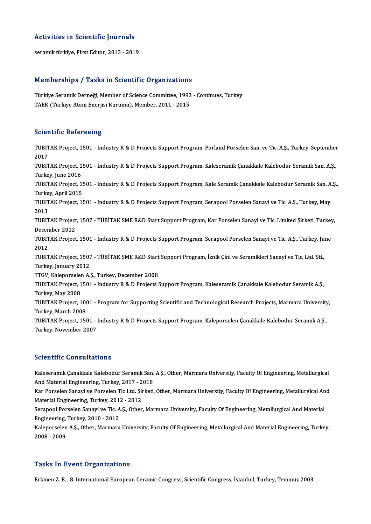## Activities in Scientific Journals A<mark>ctivities in Scientific Journals</mark><br>seramik türkiye, First Editor, 2013 - 2019

## seramik türkiye, First Editor, 2013 - 2019<br>Memberships / Tasks in Scientific Organizations

Memberships / Tasks in Scientific Organizations<br>Türkiye Seramik Derneği, Member of Science Committee, 1993 - Continues, Turkey<br>TAEK (Türkiye Atom Enerijsi Kurumu), Member 2011, 2015 Türkiye Seramik Derneği, Member of Science Committee, 1993<br>TAEK (Türkiye Atom Enerjisi Kurumu), Member, 2011 - 2015 TAEK (Türkiye Atom Enerjisi Kurumu), Member, 2011 - 2015<br>Scientific Refereeing

Scie**ntific Refereeing**<br>TUBITAK Project, 1501 - Industry R & D Projects Support Program, Porland Porselen San. ve Tic. A.Ş., Turkey, September<br>2017 2010<br>2017<br>2017 TUBITAK Project, 1501 - Industry R & D Projects Support Program, Porland Porselen San. ve Tic. A.Ş., Turkey, September<br>2017<br>TUBITAK Project, 1501 - Industry R & D Projects Support Program, Kaleseramik Çanakkale Kalebodur S 2017<br>TUBITAK Project, 1501 - Industry R & D Projects Support Program, Kaleseramik Çanakkale Kalebodur Seramik San. A.Ş.,<br>Turkey, June 2016 TUBITAK Project, 1501 - Industry R & D Projects Support Program, Kaleseramik Çanakkale Kalebodur Seramik San. A.Ş.,<br>Turkey, June 2016<br>Turkey, April 2015 Turkey, June 2016<br>TUBITAK Project, 1!<br>Turkey, April 2015<br>TUBITAK Project 1! TUBITAK Project, 1501 - Industry R & D Projects Support Program, Kale Seramik Çanakkale Kalebodur Seramik San. A<br>Turkey, April 2015<br>TUBITAK Project, 1501 - Industry R & D Projects Support Program, Serapool Porselen Sanayi Turkey, April 2015<br>TUBITAK Project, 1501 - Industry R & D Projects Support Program, Serapool Porselen Sanayi ve Tic. A.Ş., Turkey, May<br>2013 TUBITAK Project, 1501 - Industry R & D Projects Support Program, Serapool Porselen Sanayi ve Tic. A.Ş., Turkey, May<br>2013<br>TUBITAK Project, 1507 - TÜBİTAK SME R&D Start Support Program, Kar Porselen Sanayi ve Tic. Limited Şi 2013<br>TUBITAK Project<br>December 2012<br>TUBITAK Project TUBITAK Project, 1507 - TÜBİTAK SME R&D Start Support Program, Kar Porselen Sanayi ve Tic. Limited Şirketi, Turkey<br>December 2012<br>TUBITAK Project, 1501 - Industry R & D Projects Support Program, Serapool Porselen Sanayi ve December 2012<br>TUBITAK Project, 1501 - Industry R & D Projects Support Program, Serapool Porselen Sanayi ve Tic. A.Ş., Turkey, June<br>2012 TUBITAK Project, 1501 - Industry R & D Projects Support Program, Serapool Porselen Sanayi ve Tic. A.Ş., Turkey, Ju<br>2012<br>TUBITAK Project, 1507 - TÜBİTAK SME R&D Start Support Program, İznik Çini ve Seramikleri Sanayi ve Tic 2012<br>TUBITAK Project, 1507<br>Turkey, January 2012<br>TTCV, Kalenorselen A TUBITAK Project, 1507 - TÜBİTAK SME R&D Start<br>Turkey, January 2012<br>TTGV, Kaleporselen A.Ş., Turkey, December 2008<br>TUBITAK Project, 1501 - Industry B.& D Projects S Turkey, January 2012<br>TTGV, Kaleporselen A.Ş., Turkey, December 2008<br>TUBITAK Project, 1501 - Industry R & D Projects Support Program, Kaleseramik Çanakkale Kalebodur Seramik A.Ş.,<br>Turkey, May 2008 TTGV, Kaleporselen A.Ş., Turkey, December 2008 TUBITAK Project, 1501 - Industry R & D Projects Support Program, Kaleseramik Çanakkale Kalebodur Seramik A.Ş.,<br>Turkey, May 2008<br>TUBITAK Project, 1001 - Program for Supporting Scientific and Technological Research Projects, Turkey, May 2008<br>TUBITAK Project, 100<br>Turkey, March 2008<br>TUBITA*V* Project 150 TUBITAK Project, 1001 - Program for Supporting Scientific and Technological Research Projects, Marmara University<br>Turkey, March 2008<br>Turkey, November 2007<br>Turkey, November 2007 Turkey, March 2008<br>TUBITAK Project, 1501 - Industry R & D Projects Support Program, Kaleporselen Çanakkale Kalebodur Seramik A.Ş.,<br>Turkey, November 2007

## Scientific Consultations

Kaleseramik Çanakkale Kalebodur Seramik San. A.Ş., Other, Marmara University, Faculty Of Engineering, Metallurgical Berentinie Gensurtations<br>Kaleseramik Çanakkale Kalebodur Seramik San.<br>And Material Engineering, Turkey, 2017 - 2018<br>Kan Berselan Senari ve Berselan Tis Ltd. Sinkati Kaleseramik Çanakkale Kalebodur Seramik San. A.Ş., Other, Marmara University, Faculty Of Engineering, Metallurgical<br>And Material Engineering, Turkey, 2017 - 2018<br>Kar Porselen Sanayi ve Porselen Tic Ltd. Şirketi, Other, Mar

And Material Engineering, Turkey, 2017 - 2<br>Kar Porselen Sanayi ve Porselen Tic Ltd. Şii<br>Material Engineering, Turkey, 2012 - 2012<br>Serangel Perselen Sanayi ve Tic A.S. Other Kar Porselen Sanayi ve Porselen Tic Ltd. Şirketi, Other, Marmara University, Faculty Of Engineering, Metallurgical An<br>Material Engineering, Turkey, 2012 - 2012<br>Serapool Porselen Sanayi ve Tic. A.Ş., Other, Marmara Universi

Material Engineering, Turkey, 2011<br>Serapool Porselen Sanayi ve Tic. A<br>Engineering, Turkey, 2010 - 2012<br>Kalanarselan A.S. Other Marmara Serapool Porselen Sanayi ve Tic. A.Ş., Other, Marmara University, Faculty Of Engineering, Metallurgical And Material<br>Engineering, Turkey, 2010 - 2012<br>Kaleporselen A.Ş., Other, Marmara University, Faculty Of Engineering, Me

Engineering, Turkey, 2010 - 2012<br>Kaleporselen A.Ş., Other, Marmara University, Faculty Of Engineering, Metallurgical And Material Engineering, Turkey,<br>2008 - 2009

### **Tasks In Event Organizations**

Erkmen Z. E., 8. International European Ceramic Congress, Scientific Congress, İstanbul, Turkey, Temmuz 2003